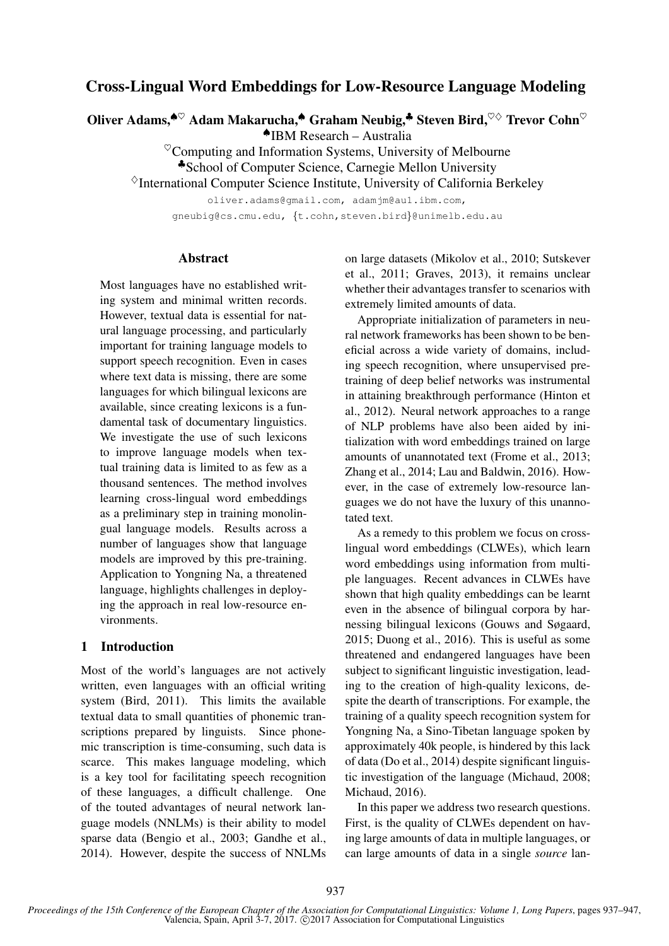# Cross-Lingual Word Embeddings for Low-Resource Language Modeling

Oliver Adams,<sup> $\bullet \heartsuit$ </sup> Adam Makarucha, $\bullet$  Graham Neubig, $\bullet$  Steven Bird, $\heartsuit \diamond$  Trevor Cohn $\heartsuit$ 

♠IBM Research – Australia

 $^{\heartsuit}$ Computing and Information Systems, University of Melbourne

♣School of Computer Science, Carnegie Mellon University

 $\Diamond$ International Computer Science Institute, University of California Berkeley

oliver.adams@gmail.com, adamjm@au1.ibm.com,

gneubig@cs.cmu.edu, {t.cohn,steven.bird}@unimelb.edu.au

### Abstract

Most languages have no established writing system and minimal written records. However, textual data is essential for natural language processing, and particularly important for training language models to support speech recognition. Even in cases where text data is missing, there are some languages for which bilingual lexicons are available, since creating lexicons is a fundamental task of documentary linguistics. We investigate the use of such lexicons to improve language models when textual training data is limited to as few as a thousand sentences. The method involves learning cross-lingual word embeddings as a preliminary step in training monolingual language models. Results across a number of languages show that language models are improved by this pre-training. Application to Yongning Na, a threatened language, highlights challenges in deploying the approach in real low-resource environments.

### 1 Introduction

Most of the world's languages are not actively written, even languages with an official writing system (Bird, 2011). This limits the available textual data to small quantities of phonemic transcriptions prepared by linguists. Since phonemic transcription is time-consuming, such data is scarce. This makes language modeling, which is a key tool for facilitating speech recognition of these languages, a difficult challenge. One of the touted advantages of neural network language models (NNLMs) is their ability to model sparse data (Bengio et al., 2003; Gandhe et al., 2014). However, despite the success of NNLMs on large datasets (Mikolov et al., 2010; Sutskever et al., 2011; Graves, 2013), it remains unclear whether their advantages transfer to scenarios with extremely limited amounts of data.

Appropriate initialization of parameters in neural network frameworks has been shown to be beneficial across a wide variety of domains, including speech recognition, where unsupervised pretraining of deep belief networks was instrumental in attaining breakthrough performance (Hinton et al., 2012). Neural network approaches to a range of NLP problems have also been aided by initialization with word embeddings trained on large amounts of unannotated text (Frome et al., 2013; Zhang et al., 2014; Lau and Baldwin, 2016). However, in the case of extremely low-resource languages we do not have the luxury of this unannotated text.

As a remedy to this problem we focus on crosslingual word embeddings (CLWEs), which learn word embeddings using information from multiple languages. Recent advances in CLWEs have shown that high quality embeddings can be learnt even in the absence of bilingual corpora by harnessing bilingual lexicons (Gouws and Søgaard, 2015; Duong et al., 2016). This is useful as some threatened and endangered languages have been subject to significant linguistic investigation, leading to the creation of high-quality lexicons, despite the dearth of transcriptions. For example, the training of a quality speech recognition system for Yongning Na, a Sino-Tibetan language spoken by approximately 40k people, is hindered by this lack of data (Do et al., 2014) despite significant linguistic investigation of the language (Michaud, 2008; Michaud, 2016).

In this paper we address two research questions. First, is the quality of CLWEs dependent on having large amounts of data in multiple languages, or can large amounts of data in a single *source* lan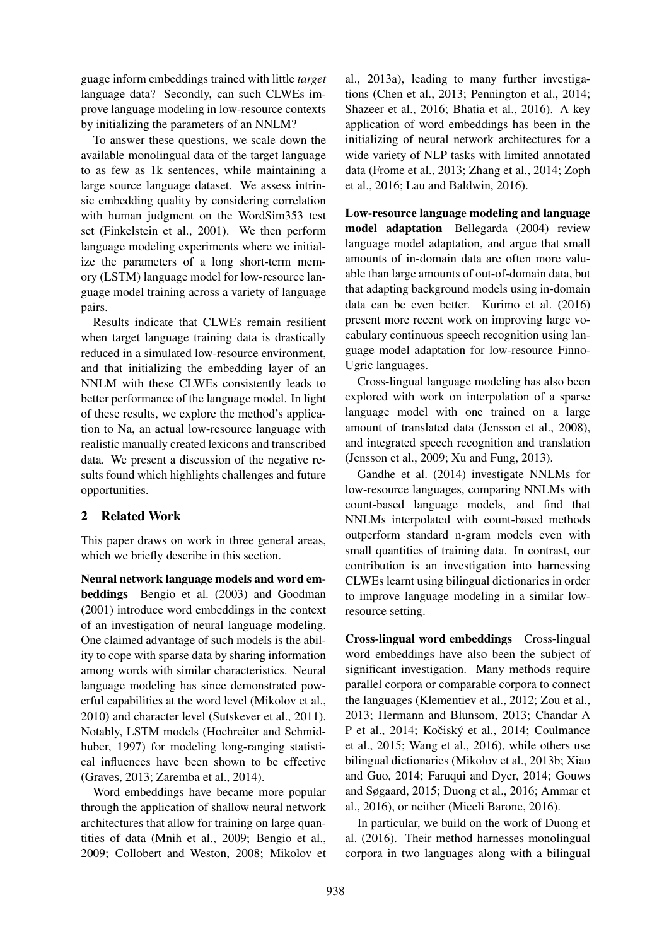guage inform embeddings trained with little *target* language data? Secondly, can such CLWEs improve language modeling in low-resource contexts by initializing the parameters of an NNLM?

To answer these questions, we scale down the available monolingual data of the target language to as few as 1k sentences, while maintaining a large source language dataset. We assess intrinsic embedding quality by considering correlation with human judgment on the WordSim353 test set (Finkelstein et al., 2001). We then perform language modeling experiments where we initialize the parameters of a long short-term memory (LSTM) language model for low-resource language model training across a variety of language pairs.

Results indicate that CLWEs remain resilient when target language training data is drastically reduced in a simulated low-resource environment, and that initializing the embedding layer of an NNLM with these CLWEs consistently leads to better performance of the language model. In light of these results, we explore the method's application to Na, an actual low-resource language with realistic manually created lexicons and transcribed data. We present a discussion of the negative results found which highlights challenges and future opportunities.

## 2 Related Work

This paper draws on work in three general areas, which we briefly describe in this section.

Neural network language models and word embeddings Bengio et al. (2003) and Goodman (2001) introduce word embeddings in the context of an investigation of neural language modeling. One claimed advantage of such models is the ability to cope with sparse data by sharing information among words with similar characteristics. Neural language modeling has since demonstrated powerful capabilities at the word level (Mikolov et al., 2010) and character level (Sutskever et al., 2011). Notably, LSTM models (Hochreiter and Schmidhuber, 1997) for modeling long-ranging statistical influences have been shown to be effective (Graves, 2013; Zaremba et al., 2014).

Word embeddings have became more popular through the application of shallow neural network architectures that allow for training on large quantities of data (Mnih et al., 2009; Bengio et al., 2009; Collobert and Weston, 2008; Mikolov et

al., 2013a), leading to many further investigations (Chen et al., 2013; Pennington et al., 2014; Shazeer et al., 2016; Bhatia et al., 2016). A key application of word embeddings has been in the initializing of neural network architectures for a wide variety of NLP tasks with limited annotated data (Frome et al., 2013; Zhang et al., 2014; Zoph et al., 2016; Lau and Baldwin, 2016).

Low-resource language modeling and language model adaptation Bellegarda (2004) review language model adaptation, and argue that small amounts of in-domain data are often more valuable than large amounts of out-of-domain data, but that adapting background models using in-domain data can be even better. Kurimo et al. (2016) present more recent work on improving large vocabulary continuous speech recognition using language model adaptation for low-resource Finno-Ugric languages.

Cross-lingual language modeling has also been explored with work on interpolation of a sparse language model with one trained on a large amount of translated data (Jensson et al., 2008), and integrated speech recognition and translation (Jensson et al., 2009; Xu and Fung, 2013).

Gandhe et al. (2014) investigate NNLMs for low-resource languages, comparing NNLMs with count-based language models, and find that NNLMs interpolated with count-based methods outperform standard n-gram models even with small quantities of training data. In contrast, our contribution is an investigation into harnessing CLWEs learnt using bilingual dictionaries in order to improve language modeling in a similar lowresource setting.

Cross-lingual word embeddings Cross-lingual word embeddings have also been the subject of significant investigation. Many methods require parallel corpora or comparable corpora to connect the languages (Klementiev et al., 2012; Zou et al., 2013; Hermann and Blunsom, 2013; Chandar A P et al., 2014; Kočiský et al., 2014; Coulmance et al., 2015; Wang et al., 2016), while others use bilingual dictionaries (Mikolov et al., 2013b; Xiao and Guo, 2014; Faruqui and Dyer, 2014; Gouws and Søgaard, 2015; Duong et al., 2016; Ammar et al., 2016), or neither (Miceli Barone, 2016).

In particular, we build on the work of Duong et al. (2016). Their method harnesses monolingual corpora in two languages along with a bilingual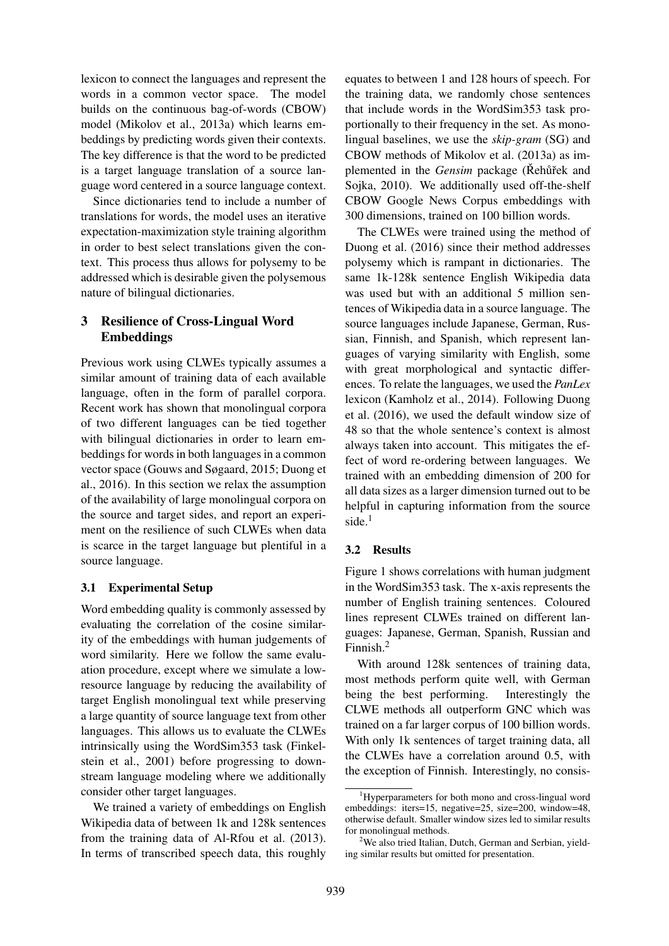lexicon to connect the languages and represent the words in a common vector space. The model builds on the continuous bag-of-words (CBOW) model (Mikolov et al., 2013a) which learns embeddings by predicting words given their contexts. The key difference is that the word to be predicted is a target language translation of a source language word centered in a source language context.

Since dictionaries tend to include a number of translations for words, the model uses an iterative expectation-maximization style training algorithm in order to best select translations given the context. This process thus allows for polysemy to be addressed which is desirable given the polysemous nature of bilingual dictionaries.

## 3 Resilience of Cross-Lingual Word Embeddings

Previous work using CLWEs typically assumes a similar amount of training data of each available language, often in the form of parallel corpora. Recent work has shown that monolingual corpora of two different languages can be tied together with bilingual dictionaries in order to learn embeddings for words in both languages in a common vector space (Gouws and Søgaard, 2015; Duong et al., 2016). In this section we relax the assumption of the availability of large monolingual corpora on the source and target sides, and report an experiment on the resilience of such CLWEs when data is scarce in the target language but plentiful in a source language.

## 3.1 Experimental Setup

Word embedding quality is commonly assessed by evaluating the correlation of the cosine similarity of the embeddings with human judgements of word similarity. Here we follow the same evaluation procedure, except where we simulate a lowresource language by reducing the availability of target English monolingual text while preserving a large quantity of source language text from other languages. This allows us to evaluate the CLWEs intrinsically using the WordSim353 task (Finkelstein et al., 2001) before progressing to downstream language modeling where we additionally consider other target languages.

We trained a variety of embeddings on English Wikipedia data of between 1k and 128k sentences from the training data of Al-Rfou et al. (2013). In terms of transcribed speech data, this roughly

equates to between 1 and 128 hours of speech. For the training data, we randomly chose sentences that include words in the WordSim353 task proportionally to their frequency in the set. As monolingual baselines, we use the *skip-gram* (SG) and CBOW methods of Mikolov et al. (2013a) as implemented in the *Gensim* package (Rehur<sup>ek</sup> and Sojka, 2010). We additionally used off-the-shelf CBOW Google News Corpus embeddings with 300 dimensions, trained on 100 billion words.

The CLWEs were trained using the method of Duong et al. (2016) since their method addresses polysemy which is rampant in dictionaries. The same 1k-128k sentence English Wikipedia data was used but with an additional 5 million sentences of Wikipedia data in a source language. The source languages include Japanese, German, Russian, Finnish, and Spanish, which represent languages of varying similarity with English, some with great morphological and syntactic differences. To relate the languages, we used the *PanLex* lexicon (Kamholz et al., 2014). Following Duong et al. (2016), we used the default window size of 48 so that the whole sentence's context is almost always taken into account. This mitigates the effect of word re-ordering between languages. We trained with an embedding dimension of 200 for all data sizes as a larger dimension turned out to be helpful in capturing information from the source side.<sup>1</sup>

## 3.2 Results

Figure 1 shows correlations with human judgment in the WordSim353 task. The x-axis represents the number of English training sentences. Coloured lines represent CLWEs trained on different languages: Japanese, German, Spanish, Russian and Finnish.<sup>2</sup>

With around 128k sentences of training data, most methods perform quite well, with German being the best performing. Interestingly the CLWE methods all outperform GNC which was trained on a far larger corpus of 100 billion words. With only 1k sentences of target training data, all the CLWEs have a correlation around 0.5, with the exception of Finnish. Interestingly, no consis-

<sup>&</sup>lt;sup>1</sup>Hyperparameters for both mono and cross-lingual word embeddings: iters=15, negative=25, size=200, window=48, otherwise default. Smaller window sizes led to similar results for monolingual methods.

 $2$ We also tried Italian, Dutch, German and Serbian, vielding similar results but omitted for presentation.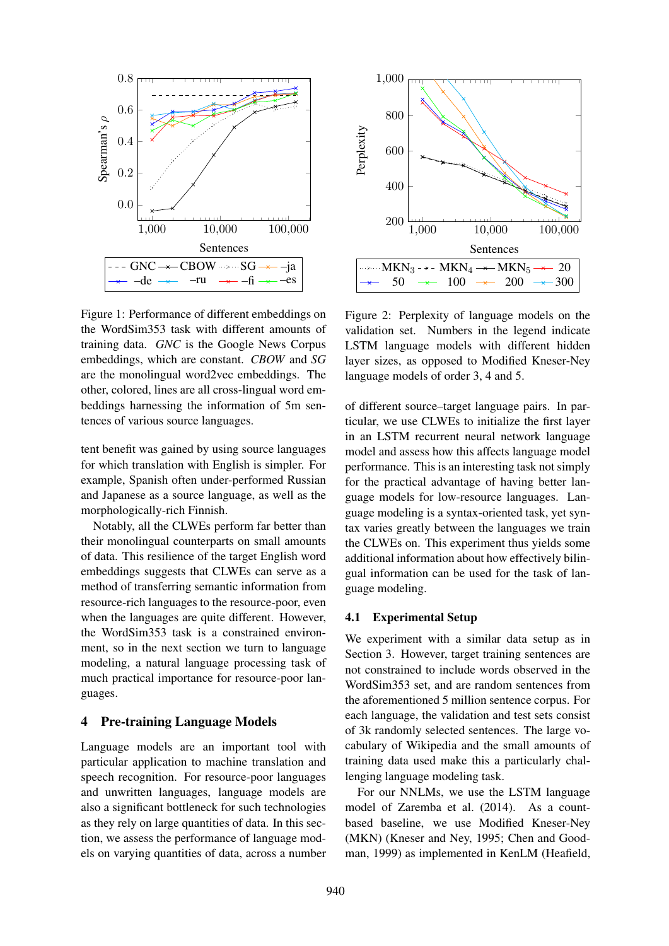

Figure 1: Performance of different embeddings on the WordSim353 task with different amounts of training data. *GNC* is the Google News Corpus embeddings, which are constant. *CBOW* and *SG* are the monolingual word2vec embeddings. The other, colored, lines are all cross-lingual word embeddings harnessing the information of 5m sentences of various source languages.

tent benefit was gained by using source languages for which translation with English is simpler. For example, Spanish often under-performed Russian and Japanese as a source language, as well as the morphologically-rich Finnish.

Notably, all the CLWEs perform far better than their monolingual counterparts on small amounts of data. This resilience of the target English word embeddings suggests that CLWEs can serve as a method of transferring semantic information from resource-rich languages to the resource-poor, even when the languages are quite different. However, the WordSim353 task is a constrained environment, so in the next section we turn to language modeling, a natural language processing task of much practical importance for resource-poor languages.

## 4 Pre-training Language Models

Language models are an important tool with particular application to machine translation and speech recognition. For resource-poor languages and unwritten languages, language models are also a significant bottleneck for such technologies as they rely on large quantities of data. In this section, we assess the performance of language models on varying quantities of data, across a number



Figure 2: Perplexity of language models on the validation set. Numbers in the legend indicate LSTM language models with different hidden layer sizes, as opposed to Modified Kneser-Ney language models of order 3, 4 and 5.

of different source–target language pairs. In particular, we use CLWEs to initialize the first layer in an LSTM recurrent neural network language model and assess how this affects language model performance. This is an interesting task not simply for the practical advantage of having better language models for low-resource languages. Language modeling is a syntax-oriented task, yet syntax varies greatly between the languages we train the CLWEs on. This experiment thus yields some additional information about how effectively bilingual information can be used for the task of language modeling.

### 4.1 Experimental Setup

We experiment with a similar data setup as in Section 3. However, target training sentences are not constrained to include words observed in the WordSim353 set, and are random sentences from the aforementioned 5 million sentence corpus. For each language, the validation and test sets consist of 3k randomly selected sentences. The large vocabulary of Wikipedia and the small amounts of training data used make this a particularly challenging language modeling task.

For our NNLMs, we use the LSTM language model of Zaremba et al. (2014). As a countbased baseline, we use Modified Kneser-Ney (MKN) (Kneser and Ney, 1995; Chen and Goodman, 1999) as implemented in KenLM (Heafield,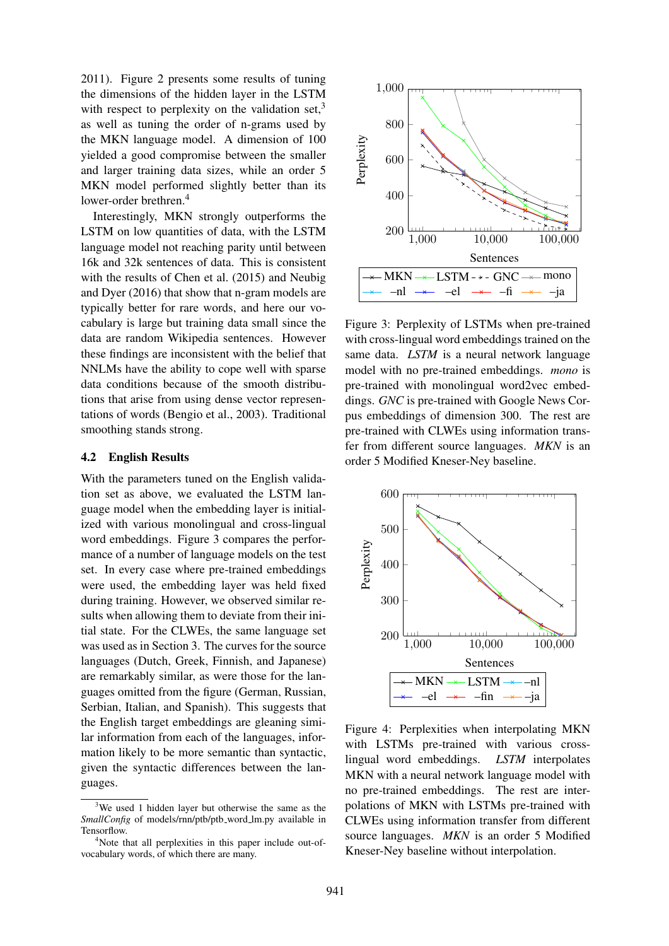2011). Figure 2 presents some results of tuning the dimensions of the hidden layer in the LSTM with respect to perplexity on the validation set, $3$ as well as tuning the order of n-grams used by the MKN language model. A dimension of 100 yielded a good compromise between the smaller and larger training data sizes, while an order 5 MKN model performed slightly better than its lower-order brethren.<sup>4</sup>

Interestingly, MKN strongly outperforms the LSTM on low quantities of data, with the LSTM language model not reaching parity until between 16k and 32k sentences of data. This is consistent with the results of Chen et al. (2015) and Neubig and Dyer (2016) that show that n-gram models are typically better for rare words, and here our vocabulary is large but training data small since the data are random Wikipedia sentences. However these findings are inconsistent with the belief that NNLMs have the ability to cope well with sparse data conditions because of the smooth distributions that arise from using dense vector representations of words (Bengio et al., 2003). Traditional smoothing stands strong.

#### 4.2 English Results

With the parameters tuned on the English validation set as above, we evaluated the LSTM language model when the embedding layer is initialized with various monolingual and cross-lingual word embeddings. Figure 3 compares the performance of a number of language models on the test set. In every case where pre-trained embeddings were used, the embedding layer was held fixed during training. However, we observed similar results when allowing them to deviate from their initial state. For the CLWEs, the same language set was used as in Section 3. The curves for the source languages (Dutch, Greek, Finnish, and Japanese) are remarkably similar, as were those for the languages omitted from the figure (German, Russian, Serbian, Italian, and Spanish). This suggests that the English target embeddings are gleaning similar information from each of the languages, information likely to be more semantic than syntactic, given the syntactic differences between the languages.



Figure 3: Perplexity of LSTMs when pre-trained with cross-lingual word embeddings trained on the same data. *LSTM* is a neural network language model with no pre-trained embeddings. *mono* is pre-trained with monolingual word2vec embeddings. *GNC* is pre-trained with Google News Corpus embeddings of dimension 300. The rest are pre-trained with CLWEs using information transfer from different source languages. *MKN* is an order 5 Modified Kneser-Ney baseline.



Figure 4: Perplexities when interpolating MKN with LSTMs pre-trained with various crosslingual word embeddings. *LSTM* interpolates MKN with a neural network language model with no pre-trained embeddings. The rest are interpolations of MKN with LSTMs pre-trained with CLWEs using information transfer from different source languages. *MKN* is an order 5 Modified Kneser-Ney baseline without interpolation.

 $3$ We used 1 hidden laver but otherwise the same as the *SmallConfig* of models/rnn/ptb/ptb\_word\_lm.py available in Tensorflow.

<sup>&</sup>lt;sup>4</sup>Note that all perplexities in this paper include out-ofvocabulary words, of which there are many.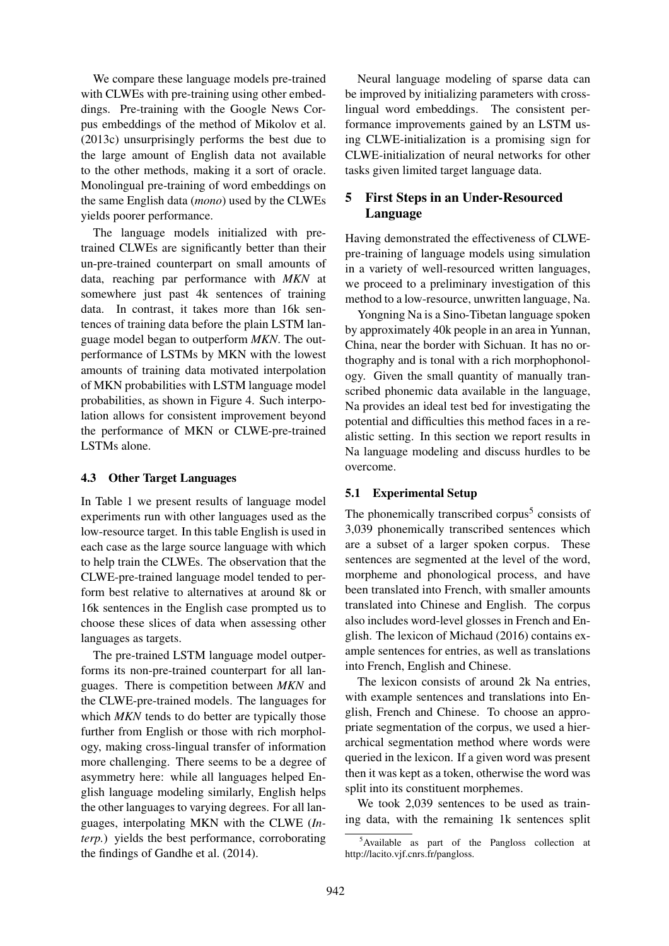We compare these language models pre-trained with CLWEs with pre-training using other embeddings. Pre-training with the Google News Corpus embeddings of the method of Mikolov et al. (2013c) unsurprisingly performs the best due to the large amount of English data not available to the other methods, making it a sort of oracle. Monolingual pre-training of word embeddings on the same English data (*mono*) used by the CLWEs yields poorer performance.

The language models initialized with pretrained CLWEs are significantly better than their un-pre-trained counterpart on small amounts of data, reaching par performance with *MKN* at somewhere just past 4k sentences of training data. In contrast, it takes more than 16k sentences of training data before the plain LSTM language model began to outperform *MKN*. The outperformance of LSTMs by MKN with the lowest amounts of training data motivated interpolation of MKN probabilities with LSTM language model probabilities, as shown in Figure 4. Such interpolation allows for consistent improvement beyond the performance of MKN or CLWE-pre-trained LSTMs alone.

### 4.3 Other Target Languages

In Table 1 we present results of language model experiments run with other languages used as the low-resource target. In this table English is used in each case as the large source language with which to help train the CLWEs. The observation that the CLWE-pre-trained language model tended to perform best relative to alternatives at around 8k or 16k sentences in the English case prompted us to choose these slices of data when assessing other languages as targets.

The pre-trained LSTM language model outperforms its non-pre-trained counterpart for all languages. There is competition between *MKN* and the CLWE-pre-trained models. The languages for which *MKN* tends to do better are typically those further from English or those with rich morphology, making cross-lingual transfer of information more challenging. There seems to be a degree of asymmetry here: while all languages helped English language modeling similarly, English helps the other languages to varying degrees. For all languages, interpolating MKN with the CLWE (*Interp.*) yields the best performance, corroborating the findings of Gandhe et al. (2014).

Neural language modeling of sparse data can be improved by initializing parameters with crosslingual word embeddings. The consistent performance improvements gained by an LSTM using CLWE-initialization is a promising sign for CLWE-initialization of neural networks for other tasks given limited target language data.

# 5 First Steps in an Under-Resourced Language

Having demonstrated the effectiveness of CLWEpre-training of language models using simulation in a variety of well-resourced written languages, we proceed to a preliminary investigation of this method to a low-resource, unwritten language, Na.

Yongning Na is a Sino-Tibetan language spoken by approximately 40k people in an area in Yunnan, China, near the border with Sichuan. It has no orthography and is tonal with a rich morphophonology. Given the small quantity of manually transcribed phonemic data available in the language, Na provides an ideal test bed for investigating the potential and difficulties this method faces in a realistic setting. In this section we report results in Na language modeling and discuss hurdles to be overcome.

## 5.1 Experimental Setup

The phonemically transcribed corpus<sup>5</sup> consists of 3,039 phonemically transcribed sentences which are a subset of a larger spoken corpus. These sentences are segmented at the level of the word, morpheme and phonological process, and have been translated into French, with smaller amounts translated into Chinese and English. The corpus also includes word-level glosses in French and English. The lexicon of Michaud (2016) contains example sentences for entries, as well as translations into French, English and Chinese.

The lexicon consists of around 2k Na entries, with example sentences and translations into English, French and Chinese. To choose an appropriate segmentation of the corpus, we used a hierarchical segmentation method where words were queried in the lexicon. If a given word was present then it was kept as a token, otherwise the word was split into its constituent morphemes.

We took 2,039 sentences to be used as training data, with the remaining 1k sentences split

<sup>5</sup>Available as part of the Pangloss collection at http://lacito.vjf.cnrs.fr/pangloss.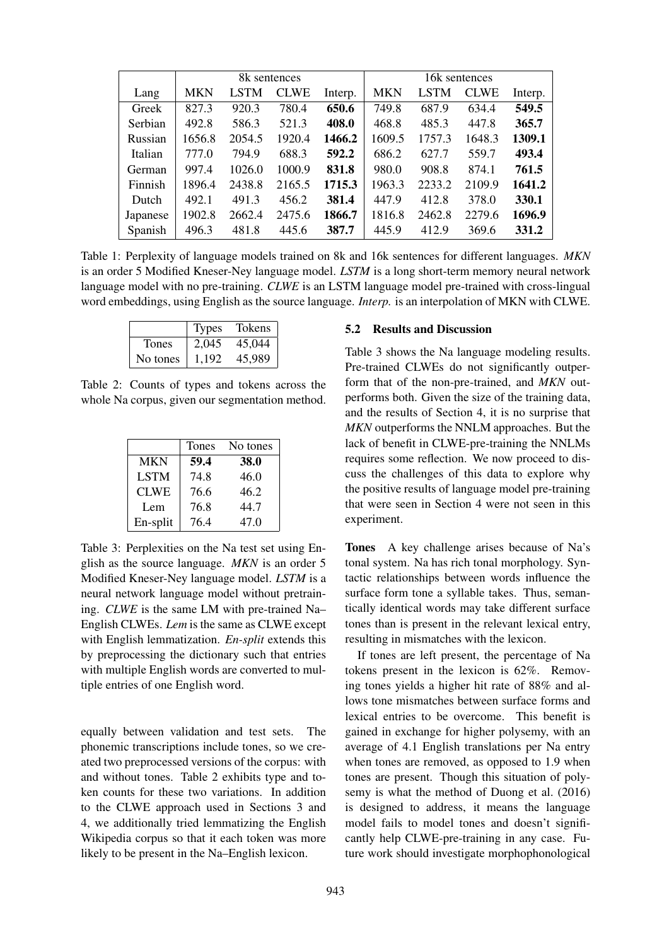|          | 8k sentences |        |             |         | 16k sentences |             |             |         |
|----------|--------------|--------|-------------|---------|---------------|-------------|-------------|---------|
| Lang     | <b>MKN</b>   | LSTM   | <b>CLWE</b> | Interp. | <b>MKN</b>    | <b>LSTM</b> | <b>CLWE</b> | Interp. |
| Greek    | 827.3        | 920.3  | 780.4       | 650.6   | 749.8         | 687.9       | 634.4       | 549.5   |
| Serbian  | 492.8        | 586.3  | 521.3       | 408.0   | 468.8         | 485.3       | 447.8       | 365.7   |
| Russian  | 1656.8       | 2054.5 | 1920.4      | 1466.2  | 1609.5        | 1757.3      | 1648.3      | 1309.1  |
| Italian  | 777.0        | 794.9  | 688.3       | 592.2   | 686.2         | 627.7       | 559.7       | 493.4   |
| German   | 997.4        | 1026.0 | 1000.9      | 831.8   | 980.0         | 908.8       | 874.1       | 761.5   |
| Finnish  | 1896.4       | 2438.8 | 2165.5      | 1715.3  | 1963.3        | 2233.2      | 2109.9      | 1641.2  |
| Dutch    | 492.1        | 491.3  | 456.2       | 381.4   | 447.9         | 412.8       | 378.0       | 330.1   |
| Japanese | 1902.8       | 2662.4 | 2475.6      | 1866.7  | 1816.8        | 2462.8      | 2279.6      | 1696.9  |
| Spanish  | 496.3        | 481.8  | 445.6       | 387.7   | 445.9         | 412.9       | 369.6       | 331.2   |

Table 1: Perplexity of language models trained on 8k and 16k sentences for different languages. *MKN* is an order 5 Modified Kneser-Ney language model. *LSTM* is a long short-term memory neural network language model with no pre-training. *CLWE* is an LSTM language model pre-trained with cross-lingual word embeddings, using English as the source language. *Interp.* is an interpolation of MKN with CLWE.

|              | Types | Tokens |
|--------------|-------|--------|
| <b>Tones</b> | 2.045 | 45,044 |
| No tones     | 1,192 | 45,989 |

Table 2: Counts of types and tokens across the whole Na corpus, given our segmentation method.

|             | <b>Tones</b> | No tones |
|-------------|--------------|----------|
| <b>MKN</b>  | 59.4         | 38.0     |
| <b>LSTM</b> | 74.8         | 46.0     |
| <b>CLWE</b> | 76.6         | 46.2     |
| Lem         | 76.8         | 44.7     |
| En-split    | 76.4         | 47.0     |

Table 3: Perplexities on the Na test set using English as the source language. *MKN* is an order 5 Modified Kneser-Ney language model. *LSTM* is a neural network language model without pretraining. *CLWE* is the same LM with pre-trained Na– English CLWEs. *Lem* is the same as CLWE except with English lemmatization. *En-split* extends this by preprocessing the dictionary such that entries with multiple English words are converted to multiple entries of one English word.

equally between validation and test sets. The phonemic transcriptions include tones, so we created two preprocessed versions of the corpus: with and without tones. Table 2 exhibits type and token counts for these two variations. In addition to the CLWE approach used in Sections 3 and 4, we additionally tried lemmatizing the English Wikipedia corpus so that it each token was more likely to be present in the Na–English lexicon.

### 5.2 Results and Discussion

Table 3 shows the Na language modeling results. Pre-trained CLWEs do not significantly outperform that of the non-pre-trained, and *MKN* outperforms both. Given the size of the training data, and the results of Section 4, it is no surprise that *MKN* outperforms the NNLM approaches. But the lack of benefit in CLWE-pre-training the NNLMs requires some reflection. We now proceed to discuss the challenges of this data to explore why the positive results of language model pre-training that were seen in Section 4 were not seen in this experiment.

Tones A key challenge arises because of Na's tonal system. Na has rich tonal morphology. Syntactic relationships between words influence the surface form tone a syllable takes. Thus, semantically identical words may take different surface tones than is present in the relevant lexical entry, resulting in mismatches with the lexicon.

If tones are left present, the percentage of Na tokens present in the lexicon is 62%. Removing tones yields a higher hit rate of 88% and allows tone mismatches between surface forms and lexical entries to be overcome. This benefit is gained in exchange for higher polysemy, with an average of 4.1 English translations per Na entry when tones are removed, as opposed to 1.9 when tones are present. Though this situation of polysemy is what the method of Duong et al. (2016) is designed to address, it means the language model fails to model tones and doesn't significantly help CLWE-pre-training in any case. Future work should investigate morphophonological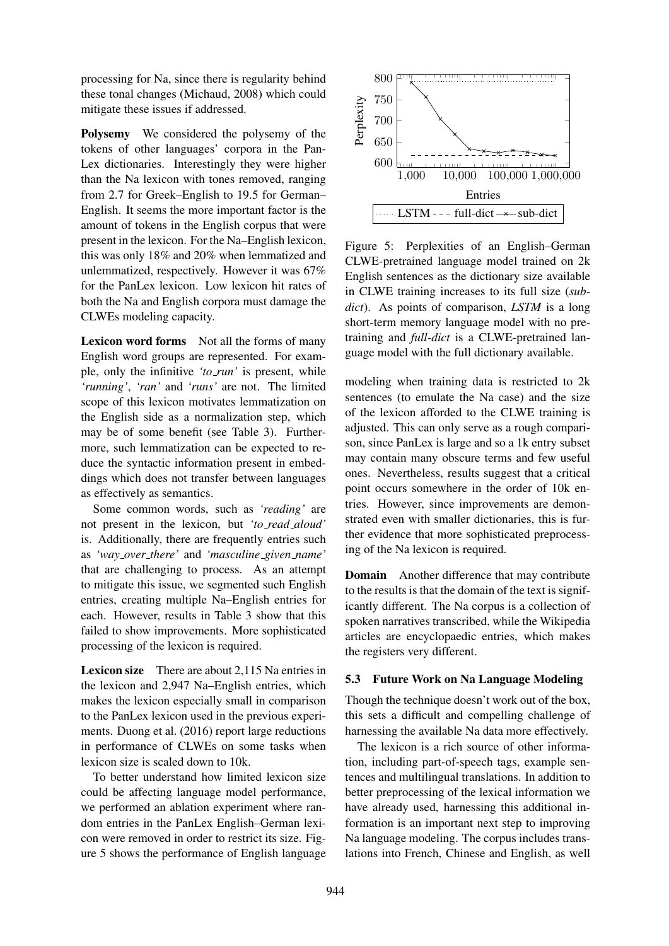processing for Na, since there is regularity behind these tonal changes (Michaud, 2008) which could mitigate these issues if addressed.

Polysemy We considered the polysemy of the tokens of other languages' corpora in the Pan-Lex dictionaries. Interestingly they were higher than the Na lexicon with tones removed, ranging from 2.7 for Greek–English to 19.5 for German– English. It seems the more important factor is the amount of tokens in the English corpus that were present in the lexicon. For the Na–English lexicon, this was only 18% and 20% when lemmatized and unlemmatized, respectively. However it was 67% for the PanLex lexicon. Low lexicon hit rates of both the Na and English corpora must damage the CLWEs modeling capacity.

Lexicon word forms Not all the forms of many English word groups are represented. For example, only the infinitive *'to run'* is present, while *'running'*, *'ran'* and *'runs'* are not. The limited scope of this lexicon motivates lemmatization on the English side as a normalization step, which may be of some benefit (see Table 3). Furthermore, such lemmatization can be expected to reduce the syntactic information present in embeddings which does not transfer between languages as effectively as semantics.

Some common words, such as *'reading'* are not present in the lexicon, but *'to read aloud'* is. Additionally, there are frequently entries such as *'way over there'* and *'masculine given name'* that are challenging to process. As an attempt to mitigate this issue, we segmented such English entries, creating multiple Na–English entries for each. However, results in Table 3 show that this failed to show improvements. More sophisticated processing of the lexicon is required.

Lexicon size There are about 2,115 Na entries in the lexicon and 2,947 Na–English entries, which makes the lexicon especially small in comparison to the PanLex lexicon used in the previous experiments. Duong et al. (2016) report large reductions in performance of CLWEs on some tasks when lexicon size is scaled down to 10k.

To better understand how limited lexicon size could be affecting language model performance, we performed an ablation experiment where random entries in the PanLex English–German lexicon were removed in order to restrict its size. Figure 5 shows the performance of English language



Figure 5: Perplexities of an English–German CLWE-pretrained language model trained on 2k English sentences as the dictionary size available in CLWE training increases to its full size (*subdict*). As points of comparison, *LSTM* is a long short-term memory language model with no pretraining and *full-dict* is a CLWE-pretrained language model with the full dictionary available.

modeling when training data is restricted to 2k sentences (to emulate the Na case) and the size of the lexicon afforded to the CLWE training is adjusted. This can only serve as a rough comparison, since PanLex is large and so a 1k entry subset may contain many obscure terms and few useful ones. Nevertheless, results suggest that a critical point occurs somewhere in the order of 10k entries. However, since improvements are demonstrated even with smaller dictionaries, this is further evidence that more sophisticated preprocessing of the Na lexicon is required.

Domain Another difference that may contribute to the results is that the domain of the text is significantly different. The Na corpus is a collection of spoken narratives transcribed, while the Wikipedia articles are encyclopaedic entries, which makes the registers very different.

### 5.3 Future Work on Na Language Modeling

Though the technique doesn't work out of the box, this sets a difficult and compelling challenge of harnessing the available Na data more effectively.

The lexicon is a rich source of other information, including part-of-speech tags, example sentences and multilingual translations. In addition to better preprocessing of the lexical information we have already used, harnessing this additional information is an important next step to improving Na language modeling. The corpus includes translations into French, Chinese and English, as well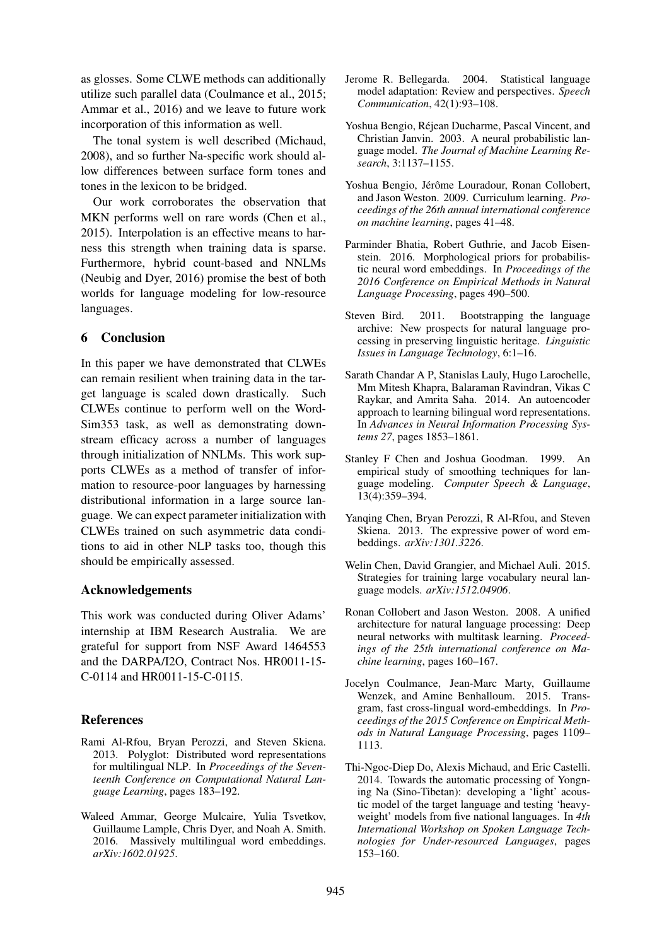as glosses. Some CLWE methods can additionally utilize such parallel data (Coulmance et al., 2015; Ammar et al., 2016) and we leave to future work incorporation of this information as well.

The tonal system is well described (Michaud, 2008), and so further Na-specific work should allow differences between surface form tones and tones in the lexicon to be bridged.

Our work corroborates the observation that MKN performs well on rare words (Chen et al., 2015). Interpolation is an effective means to harness this strength when training data is sparse. Furthermore, hybrid count-based and NNLMs (Neubig and Dyer, 2016) promise the best of both worlds for language modeling for low-resource languages.

## 6 Conclusion

In this paper we have demonstrated that CLWEs can remain resilient when training data in the target language is scaled down drastically. Such CLWEs continue to perform well on the Word-Sim353 task, as well as demonstrating downstream efficacy across a number of languages through initialization of NNLMs. This work supports CLWEs as a method of transfer of information to resource-poor languages by harnessing distributional information in a large source language. We can expect parameter initialization with CLWEs trained on such asymmetric data conditions to aid in other NLP tasks too, though this should be empirically assessed.

## Acknowledgements

This work was conducted during Oliver Adams' internship at IBM Research Australia. We are grateful for support from NSF Award 1464553 and the DARPA/I2O, Contract Nos. HR0011-15- C-0114 and HR0011-15-C-0115.

# References

- Rami Al-Rfou, Bryan Perozzi, and Steven Skiena. 2013. Polyglot: Distributed word representations for multilingual NLP. In *Proceedings of the Seventeenth Conference on Computational Natural Language Learning*, pages 183–192.
- Waleed Ammar, George Mulcaire, Yulia Tsvetkov, Guillaume Lample, Chris Dyer, and Noah A. Smith. 2016. Massively multilingual word embeddings. *arXiv:1602.01925*.
- Jerome R. Bellegarda. 2004. Statistical language model adaptation: Review and perspectives. *Speech Communication*, 42(1):93–108.
- Yoshua Bengio, Rejean Ducharme, Pascal Vincent, and ´ Christian Janvin. 2003. A neural probabilistic language model. *The Journal of Machine Learning Research*, 3:1137–1155.
- Yoshua Bengio, Jérôme Louradour, Ronan Collobert, and Jason Weston. 2009. Curriculum learning. *Proceedings of the 26th annual international conference on machine learning*, pages 41–48.
- Parminder Bhatia, Robert Guthrie, and Jacob Eisenstein. 2016. Morphological priors for probabilistic neural word embeddings. In *Proceedings of the 2016 Conference on Empirical Methods in Natural Language Processing*, pages 490–500.
- Steven Bird. 2011. Bootstrapping the language archive: New prospects for natural language processing in preserving linguistic heritage. *Linguistic Issues in Language Technology*, 6:1–16.
- Sarath Chandar A P, Stanislas Lauly, Hugo Larochelle, Mm Mitesh Khapra, Balaraman Ravindran, Vikas C Raykar, and Amrita Saha. 2014. An autoencoder approach to learning bilingual word representations. In *Advances in Neural Information Processing Systems 27*, pages 1853–1861.
- Stanley F Chen and Joshua Goodman. 1999. An empirical study of smoothing techniques for language modeling. *Computer Speech & Language*, 13(4):359–394.
- Yanqing Chen, Bryan Perozzi, R Al-Rfou, and Steven Skiena. 2013. The expressive power of word embeddings. *arXiv:1301.3226*.
- Welin Chen, David Grangier, and Michael Auli. 2015. Strategies for training large vocabulary neural language models. *arXiv:1512.04906*.
- Ronan Collobert and Jason Weston. 2008. A unified architecture for natural language processing: Deep neural networks with multitask learning. *Proceedings of the 25th international conference on Machine learning*, pages 160–167.
- Jocelyn Coulmance, Jean-Marc Marty, Guillaume Wenzek, and Amine Benhalloum. 2015. Transgram, fast cross-lingual word-embeddings. In *Proceedings of the 2015 Conference on Empirical Methods in Natural Language Processing*, pages 1109– 1113.
- Thi-Ngoc-Diep Do, Alexis Michaud, and Eric Castelli. 2014. Towards the automatic processing of Yongning Na (Sino-Tibetan): developing a 'light' acoustic model of the target language and testing 'heavyweight' models from five national languages. In *4th International Workshop on Spoken Language Technologies for Under-resourced Languages*, pages 153–160.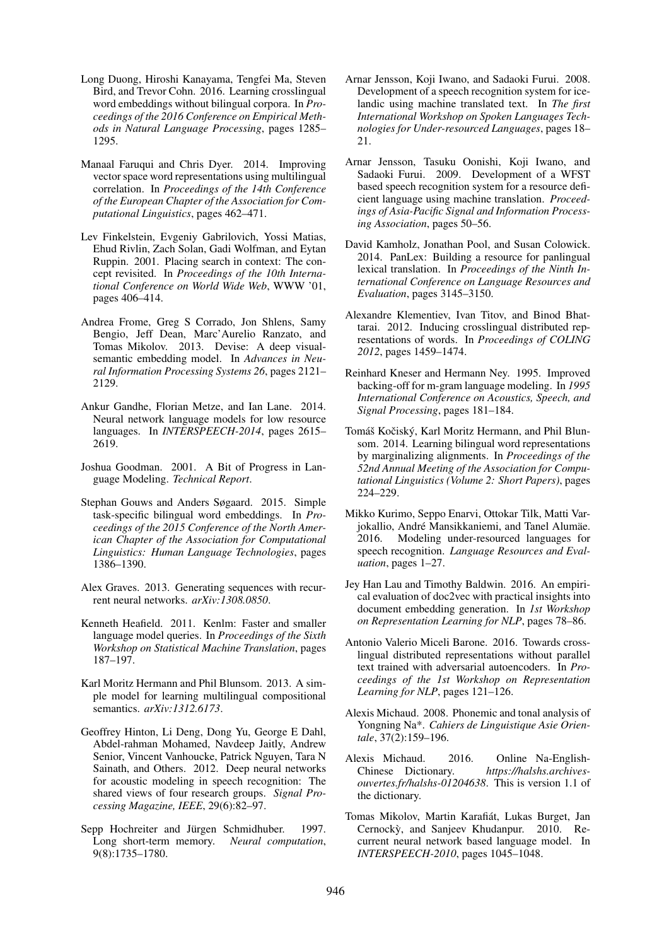- Long Duong, Hiroshi Kanayama, Tengfei Ma, Steven Bird, and Trevor Cohn. 2016. Learning crosslingual word embeddings without bilingual corpora. In *Proceedings of the 2016 Conference on Empirical Methods in Natural Language Processing*, pages 1285– 1295.
- Manaal Faruqui and Chris Dyer. 2014. Improving vector space word representations using multilingual correlation. In *Proceedings of the 14th Conference of the European Chapter of the Association for Computational Linguistics*, pages 462–471.
- Lev Finkelstein, Evgeniy Gabrilovich, Yossi Matias, Ehud Rivlin, Zach Solan, Gadi Wolfman, and Eytan Ruppin. 2001. Placing search in context: The concept revisited. In *Proceedings of the 10th International Conference on World Wide Web*, WWW '01, pages 406–414.
- Andrea Frome, Greg S Corrado, Jon Shlens, Samy Bengio, Jeff Dean, Marc'Aurelio Ranzato, and Tomas Mikolov. 2013. Devise: A deep visualsemantic embedding model. In *Advances in Neural Information Processing Systems 26*, pages 2121– 2129.
- Ankur Gandhe, Florian Metze, and Ian Lane. 2014. Neural network language models for low resource languages. In *INTERSPEECH-2014*, pages 2615– 2619.
- Joshua Goodman. 2001. A Bit of Progress in Language Modeling. *Technical Report*.
- Stephan Gouws and Anders Søgaard. 2015. Simple task-specific bilingual word embeddings. In *Proceedings of the 2015 Conference of the North American Chapter of the Association for Computational Linguistics: Human Language Technologies*, pages 1386–1390.
- Alex Graves. 2013. Generating sequences with recurrent neural networks. *arXiv:1308.0850*.
- Kenneth Heafield. 2011. Kenlm: Faster and smaller language model queries. In *Proceedings of the Sixth Workshop on Statistical Machine Translation*, pages 187–197.
- Karl Moritz Hermann and Phil Blunsom. 2013. A simple model for learning multilingual compositional semantics. *arXiv:1312.6173*.
- Geoffrey Hinton, Li Deng, Dong Yu, George E Dahl, Abdel-rahman Mohamed, Navdeep Jaitly, Andrew Senior, Vincent Vanhoucke, Patrick Nguyen, Tara N Sainath, and Others. 2012. Deep neural networks for acoustic modeling in speech recognition: The shared views of four research groups. *Signal Processing Magazine, IEEE*, 29(6):82–97.
- Sepp Hochreiter and Jürgen Schmidhuber. 1997. Long short-term memory. *Neural computation*, 9(8):1735–1780.
- Arnar Jensson, Koji Iwano, and Sadaoki Furui. 2008. Development of a speech recognition system for icelandic using machine translated text. In *The first International Workshop on Spoken Languages Technologies for Under-resourced Languages*, pages 18– 21.
- Arnar Jensson, Tasuku Oonishi, Koji Iwano, and Sadaoki Furui. 2009. Development of a WFST based speech recognition system for a resource deficient language using machine translation. *Proceedings of Asia-Pacific Signal and Information Processing Association*, pages 50–56.
- David Kamholz, Jonathan Pool, and Susan Colowick. 2014. PanLex: Building a resource for panlingual lexical translation. In *Proceedings of the Ninth International Conference on Language Resources and Evaluation*, pages 3145–3150.
- Alexandre Klementiev, Ivan Titov, and Binod Bhattarai. 2012. Inducing crosslingual distributed representations of words. In *Proceedings of COLING 2012*, pages 1459–1474.
- Reinhard Kneser and Hermann Ney. 1995. Improved backing-off for m-gram language modeling. In *1995 International Conference on Acoustics, Speech, and Signal Processing*, pages 181–184.
- Tomáš Kočiský, Karl Moritz Hermann, and Phil Blunsom. 2014. Learning bilingual word representations by marginalizing alignments. In *Proceedings of the 52nd Annual Meeting of the Association for Computational Linguistics (Volume 2: Short Papers)*, pages 224–229.
- Mikko Kurimo, Seppo Enarvi, Ottokar Tilk, Matti Varjokallio, André Mansikkaniemi, and Tanel Alumäe. 2016. Modeling under-resourced languages for speech recognition. *Language Resources and Evaluation*, pages 1–27.
- Jey Han Lau and Timothy Baldwin. 2016. An empirical evaluation of doc2vec with practical insights into document embedding generation. In *1st Workshop on Representation Learning for NLP*, pages 78–86.
- Antonio Valerio Miceli Barone. 2016. Towards crosslingual distributed representations without parallel text trained with adversarial autoencoders. In *Proceedings of the 1st Workshop on Representation Learning for NLP*, pages 121–126.
- Alexis Michaud. 2008. Phonemic and tonal analysis of Yongning Na\*. *Cahiers de Linguistique Asie Orientale*, 37(2):159–196.
- Alexis Michaud. 2016. Online Na-English-Chinese Dictionary. *https://halshs.archivesouvertes.fr/halshs-01204638*. This is version 1.1 of the dictionary.
- Tomas Mikolov, Martin Karafiat, Lukas Burget, Jan ´ Cernocky, and Sanjeev Khudanpur. 2010. Recurrent neural network based language model. In *INTERSPEECH-2010*, pages 1045–1048.